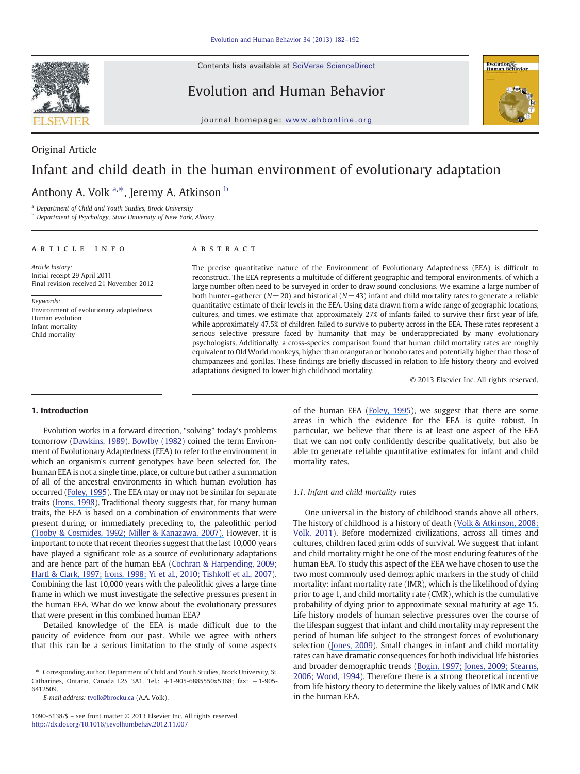Contents lists available at SciVerse ScienceDirect



Original Article

Evolution and Human Behavior



journal homepage: www.ehbonline.org

# Infant and child death in the human environment of evolutionary adaptation

Anthony A. Volk  $a, *$ , Jeremy A. Atkinson b

<sup>a</sup> *Department of Child and Youth Studies, Brock University*

<sup>b</sup> *Department of Psychology, State University of New York, Albany*

# article info abstract

*Article history:* Initial receipt 29 April 2011 Final revision received 21 November 2012

*Keywords:* Environment of evolutionary adaptedness Human evolution Infant mortality Child mortality

The precise quantitative nature of the Environment of Evolutionary Adaptedness (EEA) is difficult to reconstruct. The EEA represents a multitude of different geographic and temporal environments, of which a large number often need to be surveyed in order to draw sound conclusions. We examine a large number of both hunter–gatherer (*N*= 20) and historical (*N*= 43) infant and child mortality rates to generate a reliable quantitative estimate of their levels in the EEA. Using data drawn from a wide range of geographic locations, cultures, and times, we estimate that approximately 27% of infants failed to survive their first year of life, while approximately 47.5% of children failed to survive to puberty across in the EEA. These rates represent a serious selective pressure faced by humanity that may be underappreciated by many evolutionary psychologists. Additionally, a cross-species comparison found that human child mortality rates are roughly equivalent to Old World monkeys, higher than orangutan or bonobo rates and potentially higher than those of chimpanzees and gorillas. These findings are briefly discussed in relation to life history theory and evolved adaptations designed to lower high childhood mortality.

© 2013 Elsevier Inc. All rights reserved.

# 1. Introduction

Evolution works in a forward direction, "solving" today's problems tomorrow (Dawkins, 1989). Bowlby (1982) coined the term Environment of Evolutionary Adaptedness (EEA) to refer to the environment in which an organism's current genotypes have been selected for. The human EEA is not a single time, place, or culture but rather a summation of all of the ancestral environments in which human evolution has occurred (Foley, 1995). The EEA may or may not be similar for separate traits (Irons, 1998). Traditional theory suggests that, for many human traits, the EEA is based on a combination of environments that were present during, or immediately preceding to, the paleolithic period (Tooby & Cosmides, 1992; Miller & Kanazawa, 2007). However, it is important to note that recent theories suggest that the last 10,000 years have played a significant role as a source of evolutionary adaptations and are hence part of the human EEA (Cochran & Harpending, 2009; Hartl & Clark, 1997; Irons, 1998; Yi et al., 2010; Tishkoff et al., 2007). Combining the last 10,000 years with the paleolithic gives a large time frame in which we must investigate the selective pressures present in the human EEA. What do we know about the evolutionary pressures that were present in this combined human EEA?

Detailed knowledge of the EEA is made difficult due to the paucity of evidence from our past. While we agree with others that this can be a serious limitation to the study of some aspects of the human EEA (Foley, 1995), we suggest that there are some areas in which the evidence for the EEA is quite robust. In particular, we believe that there is at least one aspect of the EEA that we can not only confidently describe qualitatively, but also be able to generate reliable quantitative estimates for infant and child mortality rates.

#### *1.1. Infant and child mortality rates*

One universal in the history of childhood stands above all others. The history of childhood is a history of death (Volk & Atkinson, 2008; Volk, 2011). Before modernized civilizations, across all times and cultures, children faced grim odds of survival. We suggest that infant and child mortality might be one of the most enduring features of the human EEA. To study this aspect of the EEA we have chosen to use the two most commonly used demographic markers in the study of child mortality: infant mortality rate (IMR), which is the likelihood of dying prior to age 1, and child mortality rate (CMR), which is the cumulative probability of dying prior to approximate sexual maturity at age 15. Life history models of human selective pressures over the course of the lifespan suggest that infant and child mortality may represent the period of human life subject to the strongest forces of evolutionary selection (Jones, 2009). Small changes in infant and child mortality rates can have dramatic consequences for both individual life histories and broader demographic trends (Bogin, 1997; Jones, 2009; Stearns, 2006; Wood, 1994). Therefore there is a strong theoretical incentive from life history theory to determine the likely values of IMR and CMR in the human EEA.

<sup>⁎</sup> Corresponding author. Department of Child and Youth Studies, Brock University, St. Catharines, Ontario, Canada L2S 3A1. Tel.: +1-905-6885550x5368; fax: +1-905- 6412509.

*E-mail address:* tvolk@brocku.ca (A.A. Volk).

<sup>1090-5138/\$</sup> – see front matter © 2013 Elsevier Inc. All rights reserved. http://dx.doi.org/10.1016/j.evolhumbehav.2012.11.007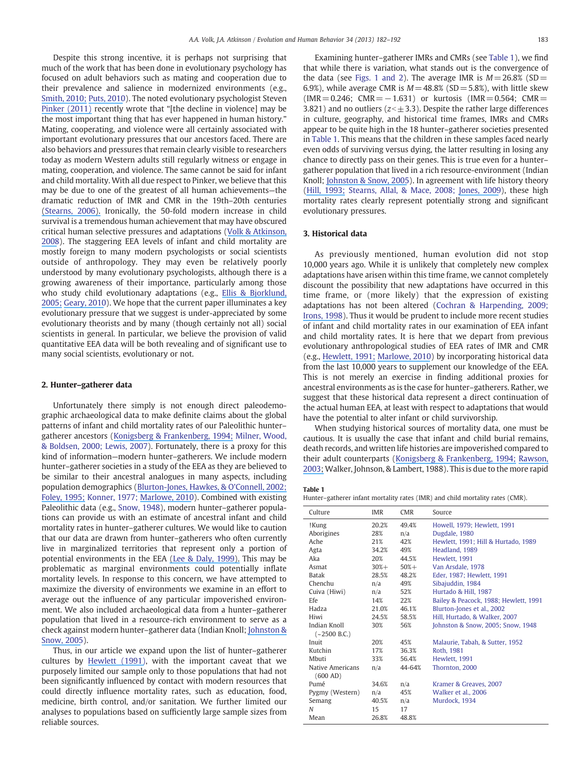Despite this strong incentive, it is perhaps not surprising that much of the work that has been done in evolutionary psychology has focused on adult behaviors such as mating and cooperation due to their prevalence and salience in modernized environments (e.g., Smith, 2010; Puts, 2010). The noted evolutionary psychologist Steven Pinker (2011) recently wrote that "[the decline in violence] may be the most important thing that has ever happened in human history." Mating, cooperating, and violence were all certainly associated with important evolutionary pressures that our ancestors faced. There are also behaviors and pressures that remain clearly visible to researchers today as modern Western adults still regularly witness or engage in mating, cooperation, and violence. The same cannot be said for infant and child mortality. With all due respect to Pinker, we believe that this may be due to one of the greatest of all human achievements—the dramatic reduction of IMR and CMR in the 19th–20th centuries (Stearns, 2006). Ironically, the 50-fold modern increase in child survival is a tremendous human achievement that may have obscured critical human selective pressures and adaptations (Volk & Atkinson, 2008). The staggering EEA levels of infant and child mortality are mostly foreign to many modern psychologists or social scientists outside of anthropology. They may even be relatively poorly understood by many evolutionary psychologists, although there is a growing awareness of their importance, particularly among those who study child evolutionary adaptations (e.g., Ellis & Bjorklund, 2005; Geary, 2010). We hope that the current paper illuminates a key evolutionary pressure that we suggest is under-appreciated by some evolutionary theorists and by many (though certainly not all) social scientists in general. In particular, we believe the provision of valid quantitative EEA data will be both revealing and of significant use to many social scientists, evolutionary or not.

# 2. Hunter–gatherer data

Unfortunately there simply is not enough direct paleodemographic archaeological data to make definite claims about the global patterns of infant and child mortality rates of our Paleolithic hunter– gatherer ancestors (Konigsberg & Frankenberg, 1994; Milner, Wood, & Boldsen, 2000; Lewis, 2007). Fortunately, there is a proxy for this kind of information—modern hunter–gatherers. We include modern hunter–gatherer societies in a study of the EEA as they are believed to be similar to their ancestral analogues in many aspects, including population demographics (Blurton-Jones, Hawkes, & O'Connell, 2002; Foley, 1995; Konner, 1977; Marlowe, 2010). Combined with existing Paleolithic data (e.g., Snow, 1948), modern hunter–gatherer populations can provide us with an estimate of ancestral infant and child mortality rates in hunter–gatherer cultures. We would like to caution that our data are drawn from hunter–gatherers who often currently live in marginalized territories that represent only a portion of potential environments in the EEA (Lee & Daly, 1999). This may be problematic as marginal environments could potentially inflate mortality levels. In response to this concern, we have attempted to maximize the diversity of environments we examine in an effort to average out the influence of any particular impoverished environment. We also included archaeological data from a hunter–gatherer population that lived in a resource-rich environment to serve as a check against modern hunter–gatherer data (Indian Knoll; Johnston & Snow, 2005).

Thus, in our article we expand upon the list of hunter–gatherer cultures by Hewlett (1991), with the important caveat that we purposely limited our sample only to those populations that had not been significantly influenced by contact with modern resources that could directly influence mortality rates, such as education, food, medicine, birth control, and/or sanitation. We further limited our analyses to populations based on sufficiently large sample sizes from reliable sources.

Examining hunter–gatherer IMRs and CMRs (see Table 1), we find that while there is variation, what stands out is the convergence of the data (see Figs. 1 and 2). The average IMR is  $M=26.8\%$  (SD = 6.9%), while average CMR is  $M= 48.8\%$  (SD = 5.8%), with little skew  $(IMR = 0.246; CMR = -1.631)$  or kurtosis  $(IMR = 0.564; CMR =$ 3.821) and no outliers ( $z<\pm$ 3.3). Despite the rather large differences in culture, geography, and historical time frames, IMRs and CMRs appear to be quite high in the 18 hunter–gatherer societies presented in Table 1. This means that the children in these samples faced nearly even odds of surviving versus dying, the latter resulting in losing any chance to directly pass on their genes. This is true even for a hunter– gatherer population that lived in a rich resource-environment (Indian Knoll; Johnston & Snow, 2005). In agreement with life history theory (Hill, 1993; Stearns, Allal, & Mace, 2008; Jones, 2009), these high mortality rates clearly represent potentially strong and significant evolutionary pressures.

#### 3. Historical data

As previously mentioned, human evolution did not stop 10,000 years ago. While it is unlikely that completely new complex adaptations have arisen within this time frame, we cannot completely discount the possibility that new adaptations have occurred in this time frame, or (more likely) that the expression of existing adaptations has not been altered (Cochran & Harpending, 2009; Irons, 1998). Thus it would be prudent to include more recent studies of infant and child mortality rates in our examination of EEA infant and child mortality rates. It is here that we depart from previous evolutionary anthropological studies of EEA rates of IMR and CMR (e.g., Hewlett, 1991; Marlowe, 2010) by incorporating historical data from the last 10,000 years to supplement our knowledge of the EEA. This is not merely an exercise in finding additional proxies for ancestral environments as is the case for hunter–gatherers. Rather, we suggest that these historical data represent a direct continuation of the actual human EEA, at least with respect to adaptations that would have the potential to alter infant or child survivorship.

When studying historical sources of mortality data, one must be cautious. It is usually the case that infant and child burial remains, death records, and written life histories are impoverished compared to their adult counterparts (Konigsberg & Frankenberg, 1994; Rawson, 2003; Walker, Johnson, & Lambert, 1988). This is due to the more rapid

# Table 1

Hunter–gatherer infant mortality rates (IMR) and child mortality rates (CMR).

| Culture                      | <b>IMR</b> | <b>CMR</b> | Source                                |
|------------------------------|------------|------------|---------------------------------------|
| !Kung                        | 20.2%      | 49.4%      | Howell, 1979; Hewlett, 1991           |
| Aborigines                   | 28%        | n/a        | Dugdale, 1980                         |
| Ache                         | 21%        | 42%        | Hewlett, 1991; Hill & Hurtado, 1989   |
| Agta                         | 34.2%      | 49%        | Headland, 1989                        |
| Aka                          | 20%        | 44.5%      | Hewlett, 1991                         |
| Asmat                        | $30%+$     | $50% +$    | Van Arsdale, 1978                     |
| Batak                        | 28.5%      | 48.2%      | Eder, 1987; Hewlett, 1991             |
| Chenchu                      | n/a        | 49%        | Sibajuddin, 1984                      |
| Cuiva (Hiwi)                 | n/a        | 52%        | Hurtado & Hill, 1987                  |
| Efe                          | 14%        | 22%        | Bailey & Peacock, 1988; Hewlett, 1991 |
| Hadza                        | 21.0%      | 46.1%      | Blurton-Jones et al., 2002            |
| Hiwi                         | 24.5%      | 58.5%      | Hill, Hurtado, & Walker, 2007         |
| Indian Knoll                 | 30%        | 56%        | Johnston & Snow, 2005; Snow, 1948     |
| $(-2500 B.C.)$               |            |            |                                       |
| Inuit                        | 20%        | 45%        | Malaurie, Tabah, & Sutter, 1952       |
| Kutchin                      | 17%        | 36.3%      | Roth, 1981                            |
| Mbuti                        | 33%        | 56.4%      | Hewlett, 1991                         |
| Native Americans<br>(600 AD) | n/a        | 44-64%     | Thornton, 2000                        |
| Pumé                         | 34.6%      | n/a        | Kramer & Greaves, 2007                |
| Pygmy (Western)              | n/a        | 45%        | Walker et al., 2006                   |
| Semang                       | 40.5%      | n/a        | Murdock, 1934                         |
| N                            | 15         | 17         |                                       |
| Mean                         | 26.8%      | 48.8%      |                                       |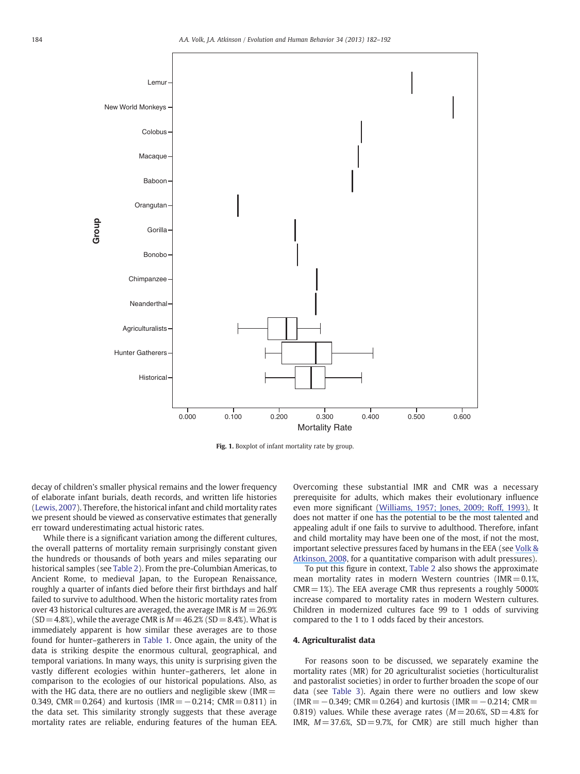

Fig. 1. Boxplot of infant mortality rate by group.

decay of children's smaller physical remains and the lower frequency of elaborate infant burials, death records, and written life histories (Lewis, 2007). Therefore, the historical infant and child mortality rates we present should be viewed as conservative estimates that generally err toward underestimating actual historic rates.

While there is a significant variation among the different cultures, the overall patterns of mortality remain surprisingly constant given the hundreds or thousands of both years and miles separating our historical samples (see Table 2). From the pre-Columbian Americas, to Ancient Rome, to medieval Japan, to the European Renaissance, roughly a quarter of infants died before their first birthdays and half failed to survive to adulthood. When the historic mortality rates from over 43 historical cultures are averaged, the average IMR is  $M = 26.9\%$  $(SD=4.8%)$ , while the average CMR is  $M=46.2%$  (SD = 8.4%). What is immediately apparent is how similar these averages are to those found for hunter–gatherers in Table 1. Once again, the unity of the data is striking despite the enormous cultural, geographical, and temporal variations. In many ways, this unity is surprising given the vastly different ecologies within hunter–gatherers, let alone in comparison to the ecologies of our historical populations. Also, as with the HG data, there are no outliers and negligible skew (IMR $=$ 0.349, CMR = 0.264) and kurtosis (IMR =  $-0.214$ ; CMR = 0.811) in the data set. This similarity strongly suggests that these average mortality rates are reliable, enduring features of the human EEA.

Overcoming these substantial IMR and CMR was a necessary prerequisite for adults, which makes their evolutionary influence even more significant (Williams, 1957; Jones, 2009; Roff, 1993). It does not matter if one has the potential to be the most talented and appealing adult if one fails to survive to adulthood. Therefore, infant and child mortality may have been one of the most, if not the most, important selective pressures faced by humans in the EEA (see Volk & Atkinson, 2008, for a quantitative comparison with adult pressures).

To put this figure in context, Table 2 also shows the approximate mean mortality rates in modern Western countries (IMR= $0.1\%$ ,  $CMR = 1\%$ ). The EEA average CMR thus represents a roughly 5000% increase compared to mortality rates in modern Western cultures. Children in modernized cultures face 99 to 1 odds of surviving compared to the 1 to 1 odds faced by their ancestors.

#### 4. Agriculturalist data

For reasons soon to be discussed, we separately examine the mortality rates (MR) for 20 agriculturalist societies (horticulturalist and pastoralist societies) in order to further broaden the scope of our data (see Table 3). Again there were no outliers and low skew  $(IMR = -0.349; CMR = 0.264)$  and kurtosis  $(IMR = -0.214; CMR =$ 0.819) values. While these average rates  $(M=20.6\%$ , SD $= 4.8\%$  for IMR,  $M = 37.6\%$ , SD = 9.7%, for CMR) are still much higher than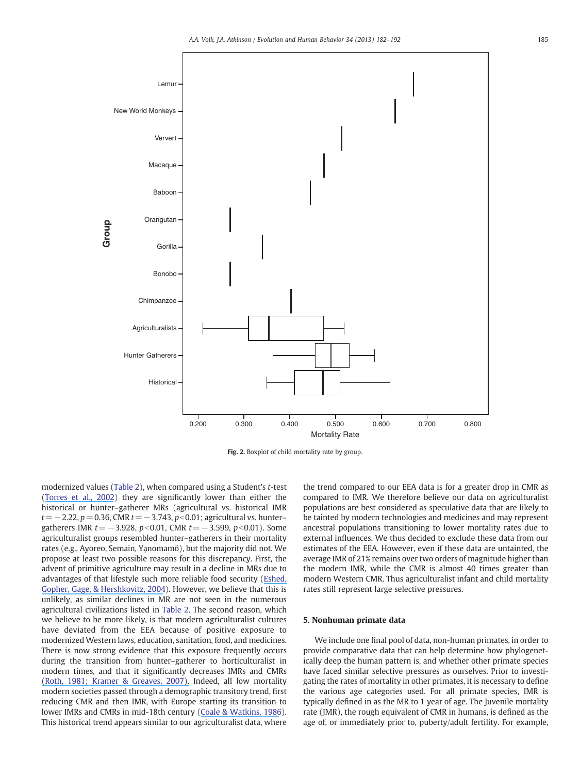

Fig. 2. Boxplot of child mortality rate by group.

modernized values (Table 2), when compared using a Student's t-test (Torres et al., 2002) they are significantly lower than either the historical or hunter–gatherer MRs (agricultural vs. historical IMR  $t=-2.22$ ,  $p=0.36$ , CMR  $t=-3.743$ ,  $p<0.01$ ; agricultural vs. hunter– gatherers IMR  $t=-3.928$ , p<0.01, CMR  $t=-3.599$ , p<0.01). Some agriculturalist groups resembled hunter–gatherers in their mortality rates (e.g., Ayoreo, Semain, Ya̧nomamö), but the majority did not. We propose at least two possible reasons for this discrepancy. First, the advent of primitive agriculture may result in a decline in MRs due to advantages of that lifestyle such more reliable food security (Eshed, Gopher, Gage, & Hershkovitz, 2004). However, we believe that this is unlikely, as similar declines in MR are not seen in the numerous agricultural civilizations listed in Table 2. The second reason, which we believe to be more likely, is that modern agriculturalist cultures have deviated from the EEA because of positive exposure to modernized Western laws, education, sanitation, food, and medicines. There is now strong evidence that this exposure frequently occurs during the transition from hunter–gatherer to horticulturalist in modern times, and that it significantly decreases IMRs and CMRs (Roth, 1981; Kramer & Greaves, 2007). Indeed, all low mortality modern societies passed through a demographic transitory trend, first reducing CMR and then IMR, with Europe starting its transition to lower IMRs and CMRs in mid-18th century (Coale & Watkins, 1986). This historical trend appears similar to our agriculturalist data, where the trend compared to our EEA data is for a greater drop in CMR as compared to IMR. We therefore believe our data on agriculturalist populations are best considered as speculative data that are likely to be tainted by modern technologies and medicines and may represent ancestral populations transitioning to lower mortality rates due to external influences. We thus decided to exclude these data from our estimates of the EEA. However, even if these data are untainted, the average IMR of 21% remains over two orders of magnitude higher than the modern IMR, while the CMR is almost 40 times greater than modern Western CMR. Thus agriculturalist infant and child mortality rates still represent large selective pressures.

### 5. Nonhuman primate data

We include one final pool of data, non-human primates, in order to provide comparative data that can help determine how phylogenetically deep the human pattern is, and whether other primate species have faced similar selective pressures as ourselves. Prior to investigating the rates of mortality in other primates, it is necessary to define the various age categories used. For all primate species, IMR is typically defined in as the MR to 1 year of age. The Juvenile mortality rate (JMR), the rough equivalent of CMR in humans, is defined as the age of, or immediately prior to, puberty/adult fertility. For example,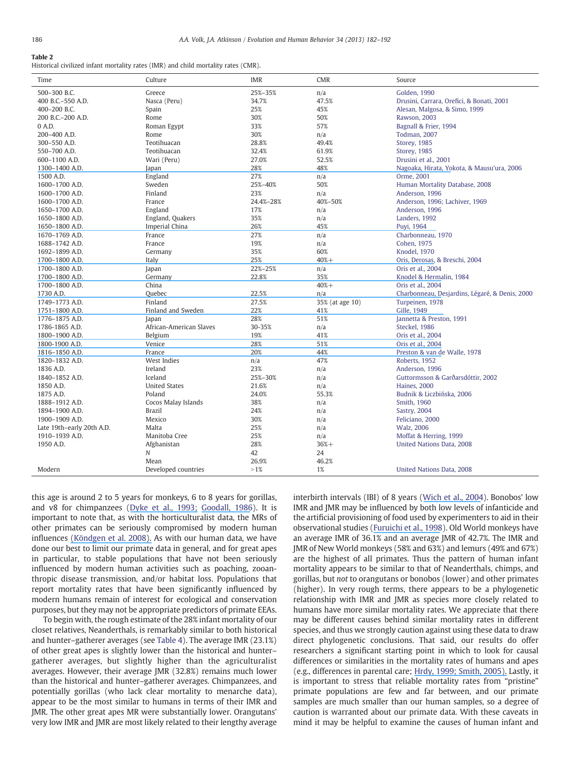# Table 2

Historical civilized infant mortality rates (IMR) and child mortality rates (CMR).

| Time                      | Culture                 | <b>IMR</b> | <b>CMR</b>      | Source                                         |
|---------------------------|-------------------------|------------|-----------------|------------------------------------------------|
| 500-300 B.C.              | Greece                  | 25%-35%    | n/a             | Golden, 1990                                   |
| 400 B.C. - 550 A.D.       | Nasca (Peru)            | 34.7%      | 47.5%           | Drusini, Carrara, Orefici, & Bonati, 2001      |
| 400-200 B.C.              | Spain                   | 25%        | 45%             | Alesan, Malgosa, & Simo, 1999                  |
| 200 B.C.-200 A.D.         | Rome                    | 30%        | 50%             | Rawson, 2003                                   |
| 0 A.D.                    | Roman Egypt             | 33%        | 57%             | Bagnall & Frier, 1994                          |
| 200-400 A.D.              | Rome                    | 30%        | n/a             | <b>Todman, 2007</b>                            |
| 300-550 A.D.              | Teotihuacan             | 28.8%      | 49.4%           | Storey, 1985                                   |
| 550-700 A.D.              | Teotihuacan             | 32.4%      | 61.9%           | Storey, 1985                                   |
| 600-1100 A.D.             | Wari (Peru)             | 27.0%      | 52.5%           | Drusini et al., 2001                           |
| 1300-1400 A.D.            | Japan                   | 28%        | 48%             | Nagoaka, Hirata, Yokota, & Mausu'ura, 2006     |
| 1500 A.D.                 | England                 | 27%        | n/a             | Orme, 2001                                     |
| 1600-1700 A.D.            | Sweden                  | 25%-40%    | 50%             | Human Mortality Database, 2008                 |
| 1600-1700 A.D.            | Finland                 | 23%        | n/a             | Anderson, 1996                                 |
| 1600-1700 A.D.            | France                  | 24.4%-28%  | 40%-50%         | Anderson, 1996; Lachiver, 1969                 |
| 1650-1700 A.D.            | England                 | 17%        | n/a             | Anderson, 1996                                 |
| 1650-1800 A.D.            | England, Quakers        | 35%        | n/a             | Landers, 1992                                  |
| 1650-1800 A.D.            | Imperial China          | 26%        | 45%             | Puvi, 1964                                     |
| 1670-1769 A.D.            | France                  | 27%        | n/a             | Charbonneau, 1970                              |
| 1688-1742 A.D.            | France                  | 19%        | n/a             | Cohen, 1975                                    |
| 1692-1899 A.D.            | Germany                 | 35%        | 60%             | <b>Knodel, 1970</b>                            |
| 1700-1800 A.D.            | Italy                   | 25%        | $40% +$         | Oris, Derosas, & Breschi, 2004                 |
| 1700-1800 A.D.            | Japan                   | 22%-25%    | n/a             | Oris et al., 2004                              |
| 1700-1800 A.D.            | Germany                 | 22.8%      | 35%             | Knodel & Hermalin, 1984                        |
| 1700-1800 A.D.            | China                   |            | $40% +$         | Oris et al., 2004                              |
| 1730 A.D.                 | Quebec                  | 22.5%      | n/a             | Charbonneau, Desjardins, Légaré, & Denis, 2000 |
| 1749-1773 A.D.            | Finland                 | 27.5%      | 35% (at age 10) | Turpeinen, 1978                                |
| 1751-1800 A.D.            | Finland and Sweden      | 22%        | 41%             | Gille, 1949                                    |
| 1776-1875 A.D.            | Japan                   | 28%        | 51%             | Jannetta & Preston, 1991                       |
| 1786-1865 A.D.            | African-American Slaves | 30-35%     | n/a             | Steckel, 1986                                  |
| 1800-1900 A.D.            | Belgium                 | 19%        | 41%             | Oris et al., 2004                              |
| 1800-1900 A.D.            | Venice                  | 28%        | 51%             | Oris et al., 2004                              |
| 1816-1850 A.D.            | France                  | 20%        | 44%             | Preston & van de Walle, 1978                   |
| 1820-1832 A.D.            | <b>West Indies</b>      | n/a        | 47%             | Roberts, 1952                                  |
| 1836 A.D.                 | Ireland                 | 23%        | n/a             | Anderson, 1996                                 |
| 1840-1852 A.D.            | Iceland                 | 25%-30%    | n/a             | Guttormsson & Garðarsdóttir, 2002              |
| 1850 A.D.                 | <b>United States</b>    | 21.6%      | n/a             | <b>Haines, 2000</b>                            |
| 1875 A.D.                 | Poland                  | 24.0%      | 55.3%           | Budnik & Liczbińska, 2006                      |
| 1888-1912 A.D.            | Cocos Malay Islands     | 38%        | n/a             | Smith, 1960                                    |
| 1894-1900 A.D.            | <b>Brazil</b>           | 24%        | n/a             | Sastry, 2004                                   |
| 1900-1909 A.D.            | Mexico                  | 30%        | n/a             | Feliciano, 2000                                |
| Late 19th-early 20th A.D. | Malta                   | 25%        | n/a             | <b>Walz</b> , 2006                             |
| 1910-1939 A.D.            | Manitoba Cree           | 25%        | n/a             | Moffat & Herring, 1999                         |
| 1950 A.D.                 | Afghanistan             | 28%        | $36%+$          | United Nations Data, 2008                      |
|                           | N                       | 42         | 24              |                                                |
|                           | Mean                    | 26.9%      | 46.2%           |                                                |
| Modern                    | Developed countries     | $>1\%$     | 1%              | United Nations Data, 2008                      |

this age is around 2 to 5 years for monkeys, 6 to 8 years for gorillas, and v8 for chimpanzees (Dyke et al., 1993; Goodall, 1986). It is important to note that, as with the horticulturalist data, the MRs of other primates can be seriously compromised by modern human influences (Köndgen et al. 2008). As with our human data, we have done our best to limit our primate data in general, and for great apes in particular, to stable populations that have not been seriously influenced by modern human activities such as poaching, zooanthropic disease transmission, and/or habitat loss. Populations that report mortality rates that have been significantly influenced by modern humans remain of interest for ecological and conservation purposes, but they may not be appropriate predictors of primate EEAs.

To begin with, the rough estimate of the 28% infant mortality of our closet relatives, Neanderthals, is remarkably similar to both historical and hunter–gatherer averages (see Table 4). The average IMR (23.1%) of other great apes is slightly lower than the historical and hunter– gatherer averages, but slightly higher than the agriculturalist averages. However, their average JMR (32.8%) remains much lower than the historical and hunter–gatherer averages. Chimpanzees, and potentially gorillas (who lack clear mortality to menarche data), appear to be the most similar to humans in terms of their IMR and JMR. The other great apes MR were substantially lower. Orangutans' very low IMR and JMR are most likely related to their lengthy average

interbirth intervals (IBI) of 8 years (Wich et al., 2004). Bonobos' low IMR and JMR may be influenced by both low levels of infanticide and the artificial provisioning of food used by experimenters to aid in their observational studies (Furuichi et al., 1998). Old World monkeys have an average IMR of 36.1% and an average JMR of 42.7%. The IMR and JMR of New World monkeys (58% and 63%) and lemurs (49% and 67%) are the highest of all primates. Thus the pattern of human infant mortality appears to be similar to that of Neanderthals, chimps, and gorillas, but not to orangutans or bonobos (lower) and other primates (higher). In very rough terms, there appears to be a phylogenetic relationship with IMR and JMR as species more closely related to humans have more similar mortality rates. We appreciate that there may be different causes behind similar mortality rates in different species, and thus we strongly caution against using these data to draw direct phylogenetic conclusions. That said, our results do offer researchers a significant starting point in which to look for causal differences or similarities in the mortality rates of humans and apes (e.g., differences in parental care; Hrdy, 1999; Smith, 2005). Lastly, it is important to stress that reliable mortality rates from "pristine" primate populations are few and far between, and our primate samples are much smaller than our human samples, so a degree of caution is warranted about our primate data. With these caveats in mind it may be helpful to examine the causes of human infant and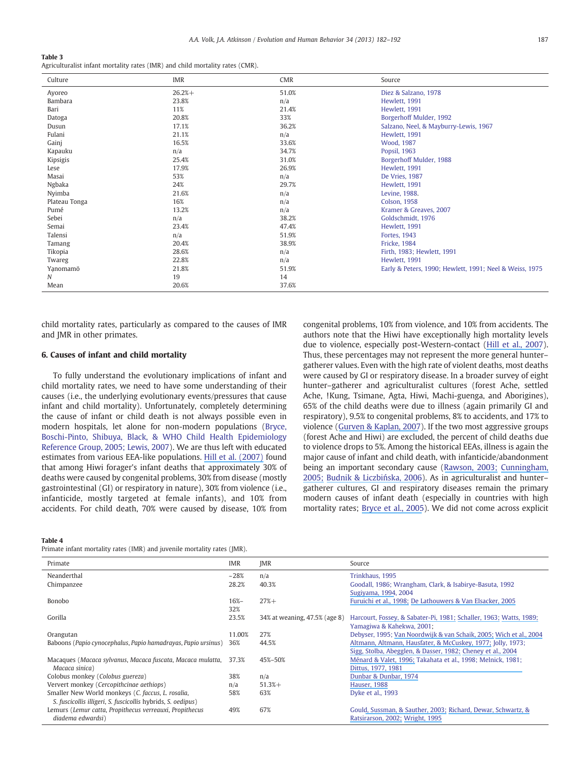#### Table 3

Agriculturalist infant mortality rates (IMR) and child mortality rates (CMR).

| Culture       | <b>IMR</b> | <b>CMR</b> | Source                                                  |
|---------------|------------|------------|---------------------------------------------------------|
| Ayoreo        | $26.2%+$   | 51.0%      | Diez & Salzano, 1978                                    |
| Bambara       | 23.8%      | n/a        | Hewlett, 1991                                           |
| Bari          | 11%        | 21.4%      | Hewlett, 1991                                           |
| Datoga        | 20.8%      | 33%        | Borgerhoff Mulder, 1992                                 |
| Dusun         | 17.1%      | 36.2%      | Salzano, Neel, & Mayburry-Lewis, 1967                   |
| Fulani        | 21.1%      | n/a        | Hewlett, 1991                                           |
| Gainj         | 16.5%      | 33.6%      | Wood, 1987                                              |
| Kapauku       | n/a        | 34.7%      | Popsil, 1963                                            |
| Kipsigis      | 25.4%      | 31.0%      | Borgerhoff Mulder, 1988                                 |
| Lese          | 17.9%      | 26.9%      | Hewlett, 1991                                           |
| Masai         | 53%        | n/a        | De Vries, 1987                                          |
| Ngbaka        | 24%        | 29.7%      | Hewlett, 1991                                           |
| Nyimba        | 21.6%      | n/a        | Levine, 1988.                                           |
| Plateau Tonga | 16%        | n/a        | Colson, 1958                                            |
| Pumé          | 13.2%      | n/a        | Kramer & Greaves, 2007                                  |
| Sebei         | n/a        | 38.2%      | Goldschmidt, 1976                                       |
| Semai         | 23.4%      | 47.4%      | Hewlett, 1991                                           |
| Talensi       | n/a        | 51.9%      | Fortes, 1943                                            |
| Tamang        | 20.4%      | 38.9%      | <b>Fricke, 1984</b>                                     |
| Tikopia       | 28.6%      | n/a        | Firth, 1983; Hewlett, 1991                              |
| Twareg        | 22.8%      | n/a        | Hewlett, 1991                                           |
| Yanomamö      | 21.8%      | 51.9%      | Early & Peters, 1990; Hewlett, 1991; Neel & Weiss, 1975 |
| N             | 19         | 14         |                                                         |
| Mean          | 20.6%      | 37.6%      |                                                         |

child mortality rates, particularly as compared to the causes of IMR and JMR in other primates.

# 6. Causes of infant and child mortality

To fully understand the evolutionary implications of infant and child mortality rates, we need to have some understanding of their causes (i.e., the underlying evolutionary events/pressures that cause infant and child mortality). Unfortunately, completely determining the cause of infant or child death is not always possible even in modern hospitals, let alone for non-modern populations (Bryce, Boschi-Pinto, Shibuya, Black, & WHO Child Health Epidemiology Reference Group, 2005; Lewis, 2007). We are thus left with educated estimates from various EEA-like populations. Hill et al. (2007) found that among Hiwi forager's infant deaths that approximately 30% of deaths were caused by congenital problems, 30% from disease (mostly gastrointestinal (GI) or respiratory in nature), 30% from violence (i.e., infanticide, mostly targeted at female infants), and 10% from accidents. For child death, 70% were caused by disease, 10% from

congenital problems, 10% from violence, and 10% from accidents. The authors note that the Hiwi have exceptionally high mortality levels due to violence, especially post-Western-contact (Hill et al., 2007). Thus, these percentages may not represent the more general hunter– gatherer values. Even with the high rate of violent deaths, most deaths were caused by GI or respiratory disease. In a broader survey of eight hunter–gatherer and agriculturalist cultures (forest Ache, settled Ache, !Kung, Tsimane, Agta, Hiwi, Machi-guenga, and Aborigines), 65% of the child deaths were due to illness (again primarily GI and respiratory), 9.5% to congenital problems, 8% to accidents, and 17% to violence (Gurven & Kaplan, 2007). If the two most aggressive groups (forest Ache and Hiwi) are excluded, the percent of child deaths due to violence drops to 5%. Among the historical EEAs, illness is again the major cause of infant and child death, with infanticide/abandonment being an important secondary cause (Rawson, 2003; Cunningham, 2005; Budnik & Liczbińska, 2006). As in agriculturalist and hunter– gatherer cultures, GI and respiratory diseases remain the primary modern causes of infant death (especially in countries with high mortality rates; Bryce et al., 2005). We did not come across explicit

#### Table 4

Primate infant mortality rates (IMR) and juvenile mortality rates (JMR).

| IMR                                                                 | <b>IMR</b>                    | Source                                                             |
|---------------------------------------------------------------------|-------------------------------|--------------------------------------------------------------------|
| $-28%$                                                              | n/a                           | Trinkhaus, 1995                                                    |
| 28.2%                                                               | 40.3%                         | Goodall, 1986; Wrangham, Clark, & Isabirye-Basuta, 1992            |
|                                                                     |                               | Sugiyama, 1994, 2004                                               |
| $16% -$                                                             | $27%+$                        | Furuichi et al., 1998; De Lathouwers & Van Elsacker, 2005          |
| 32%                                                                 |                               |                                                                    |
| 23.5%                                                               | 34% at weaning, 47.5% (age 8) | Harcourt, Fossey, & Sabater-Pi, 1981; Schaller, 1963; Watts, 1989; |
|                                                                     |                               | Yamagiwa & Kahekwa, 2001;                                          |
| 11.00%                                                              | 27%                           | Debyser, 1995; Van Noordwijk & van Schaik, 2005; Wich et al., 2004 |
| 36%                                                                 | 44.5%                         | Altmann, Altmann, Hausfater, & McCuskey, 1977; Jolly, 1973;        |
|                                                                     |                               | Sigg, Stolba, Abegglen, & Dasser, 1982; Cheney et al., 2004        |
| Macaques (Macaca sylvanus, Macaca fuscata, Macaca mulatta,<br>37.3% | 45%-50%                       | Ménard & Valet, 1996; Takahata et al., 1998; Melnick, 1981;        |
|                                                                     |                               | Dittus, 1977, 1981                                                 |
| 38%                                                                 | n/a                           | Dunbar & Dunbar, 1974                                              |
| n/a                                                                 | 51.3%                         | Hauser, 1988                                                       |
| 58%                                                                 | 63%                           | Dyke et al., 1993                                                  |
|                                                                     |                               |                                                                    |
| 49%                                                                 | 67%                           | Gould, Sussman, & Sauther, 2003; Richard, Dewar, Schwartz, &       |
|                                                                     |                               | Ratsirarson, 2002; Wright, 1995                                    |
|                                                                     |                               |                                                                    |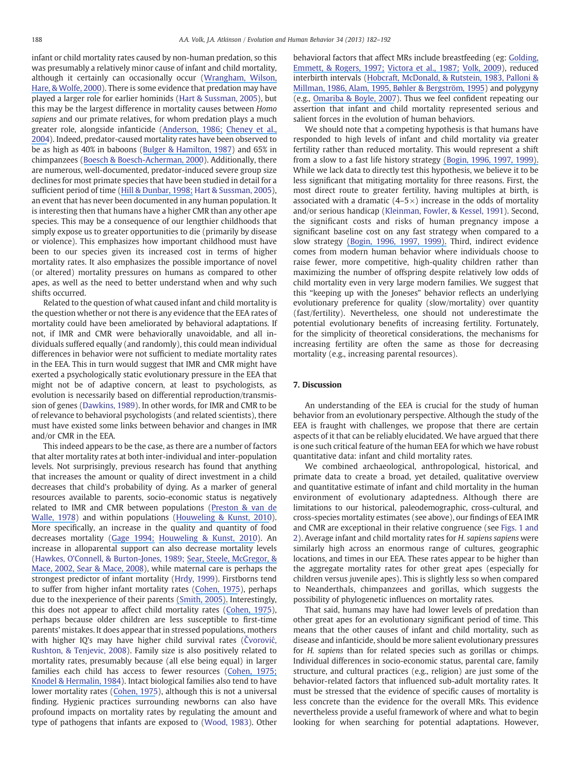infant or child mortality rates caused by non-human predation, so this was presumably a relatively minor cause of infant and child mortality, although it certainly can occasionally occur (Wrangham, Wilson, Hare, & Wolfe, 2000). There is some evidence that predation may have played a larger role for earlier hominids (Hart & Sussman, 2005), but this may be the largest difference in mortality causes between Homo sapiens and our primate relatives, for whom predation plays a much greater role, alongside infanticide (Anderson, 1986; Cheney et al., 2004). Indeed, predator-caused mortality rates have been observed to be as high as 40% in baboons (Bulger & Hamilton, 1987) and 65% in chimpanzees (Boesch & Boesch-Acherman, 2000). Additionally, there are numerous, well-documented, predator-induced severe group size declines for most primate species that have been studied in detail for a sufficient period of time (Hill & Dunbar, 1998; Hart & Sussman, 2005), an event that has never been documented in any human population. It is interesting then that humans have a higher CMR than any other ape species. This may be a consequence of our lengthier childhoods that simply expose us to greater opportunities to die (primarily by disease or violence). This emphasizes how important childhood must have been to our species given its increased cost in terms of higher mortality rates. It also emphasizes the possible importance of novel (or altered) mortality pressures on humans as compared to other apes, as well as the need to better understand when and why such shifts occurred.

Related to the question of what caused infant and child mortality is the question whether or not there is any evidence that the EEA rates of mortality could have been ameliorated by behavioral adaptations. If not, if IMR and CMR were behaviorally unavoidable, and all individuals suffered equally (and randomly), this could mean individual differences in behavior were not sufficient to mediate mortality rates in the EEA. This in turn would suggest that IMR and CMR might have exerted a psychologically static evolutionary pressure in the EEA that might not be of adaptive concern, at least to psychologists, as evolution is necessarily based on differential reproduction/transmission of genes (Dawkins, 1989). In other words, for IMR and CMR to be of relevance to behavioral psychologists (and related scientists), there must have existed some links between behavior and changes in IMR and/or CMR in the EEA.

This indeed appears to be the case, as there are a number of factors that alter mortality rates at both inter-individual and inter-population levels. Not surprisingly, previous research has found that anything that increases the amount or quality of direct investment in a child decreases that child's probability of dying. As a marker of general resources available to parents, socio-economic status is negatively related to IMR and CMR between populations (Preston & van de Walle, 1978) and within populations (Houweling & Kunst, 2010). More specifically, an increase in the quality and quantity of food decreases mortality (Gage 1994; Houweling & Kunst, 2010). An increase in alloparental support can also decrease mortality levels (Hawkes, O'Connell, & Burton-Jones, 1989; Sear, Steele, McGregor, & Mace, 2002, Sear & Mace, 2008), while maternal care is perhaps the strongest predictor of infant mortality (Hrdy, 1999). Firstborns tend to suffer from higher infant mortality rates (Cohen, 1975), perhaps due to the inexperience of their parents (Smith, 2005). Interestingly, this does not appear to affect child mortality rates (Cohen, 1975), perhaps because older children are less susceptible to first-time parents' mistakes. It does appear that in stressed populations, mothers with higher IQ's may have higher child survival rates (Čvorović, Rushton, & Tenjevic, 2008). Family size is also positively related to mortality rates, presumably because (all else being equal) in larger families each child has access to fewer resources (Cohen, 1975; Knodel & Hermalin, 1984). Intact biological families also tend to have lower mortality rates (Cohen, 1975), although this is not a universal finding. Hygienic practices surrounding newborns can also have profound impacts on mortality rates by regulating the amount and type of pathogens that infants are exposed to (Wood, 1983). Other behavioral factors that affect MRs include breastfeeding (eg: Golding, Emmett, & Rogers, 1997; Victora et al., 1987; Volk, 2009), reduced interbirth intervals (Hobcraft, McDonald, & Rutstein, 1983, Palloni & Millman, 1986, Alam, 1995, Bøhler & Bergström, 1995) and polygyny (e.g., Omariba & Boyle, 2007). Thus we feel confident repeating our assertion that infant and child mortality represented serious and salient forces in the evolution of human behaviors.

We should note that a competing hypothesis is that humans have responded to high levels of infant and child mortality via greater fertility rather than reduced mortality. This would represent a shift from a slow to a fast life history strategy (Bogin, 1996, 1997, 1999). While we lack data to directly test this hypothesis, we believe it to be less significant that mitigating mortality for three reasons. First, the most direct route to greater fertility, having multiples at birth, is associated with a dramatic  $(4-5\times)$  increase in the odds of mortality and/or serious handicap (Kleinman, Fowler, & Kessel, 1991). Second, the significant costs and risks of human pregnancy impose a significant baseline cost on any fast strategy when compared to a slow strategy (Bogin, 1996, 1997, 1999). Third, indirect evidence comes from modern human behavior where individuals choose to raise fewer, more competitive, high-quality children rather than maximizing the number of offspring despite relatively low odds of child mortality even in very large modern families. We suggest that this "keeping up with the Joneses" behavior reflects an underlying evolutionary preference for quality (slow/mortality) over quantity (fast/fertility). Nevertheless, one should not underestimate the potential evolutionary benefits of increasing fertility. Fortunately, for the simplicity of theoretical considerations, the mechanisms for increasing fertility are often the same as those for decreasing mortality (e.g., increasing parental resources).

# 7. Discussion

An understanding of the EEA is crucial for the study of human behavior from an evolutionary perspective. Although the study of the EEA is fraught with challenges, we propose that there are certain aspects of it that can be reliably elucidated. We have argued that there is one such critical feature of the human EEA for which we have robust quantitative data: infant and child mortality rates.

We combined archaeological, anthropological, historical, and primate data to create a broad, yet detailed, qualitative overview and quantitative estimate of infant and child mortality in the human environment of evolutionary adaptedness. Although there are limitations to our historical, paleodemographic, cross-cultural, and cross-species mortality estimates (see above), our findings of EEA IMR and CMR are exceptional in their relative congruence (see Figs. 1 and 2). Average infant and child mortality rates for H. sapiens sapiens were similarly high across an enormous range of cultures, geographic locations, and times in our EEA. These rates appear to be higher than the aggregate mortality rates for other great apes (especially for children versus juvenile apes). This is slightly less so when compared to Neanderthals, chimpanzees and gorillas, which suggests the possibility of phylogenetic influences on mortality rates.

That said, humans may have had lower levels of predation than other great apes for an evolutionary significant period of time. This means that the other causes of infant and child mortality, such as disease and infanticide, should be more salient evolutionary pressures for H. sapiens than for related species such as gorillas or chimps. Individual differences in socio-economic status, parental care, family structure, and cultural practices (e.g., religion) are just some of the behavior-related factors that influenced sub-adult mortality rates. It must be stressed that the evidence of specific causes of mortality is less concrete than the evidence for the overall MRs. This evidence nevertheless provide a useful framework of where and what to begin looking for when searching for potential adaptations. However,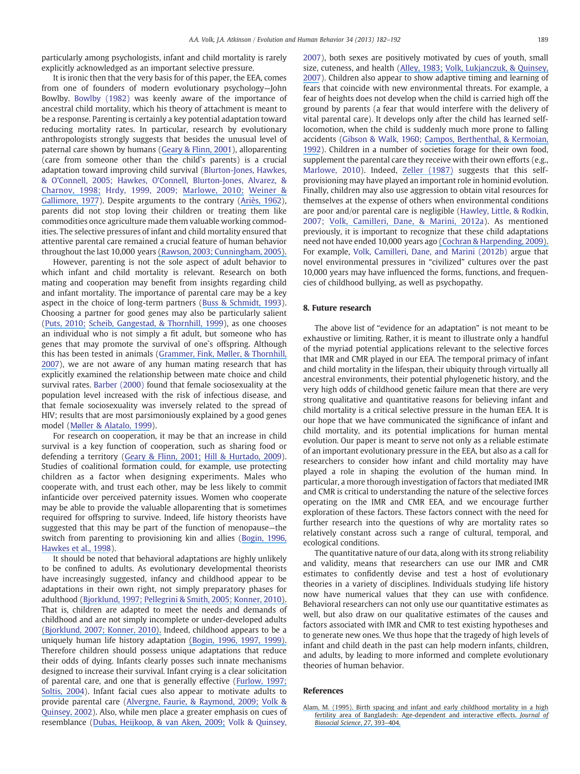particularly among psychologists, infant and child mortality is rarely explicitly acknowledged as an important selective pressure.

It is ironic then that the very basis for of this paper, the EEA, comes from one of founders of modern evolutionary psychology—John Bowlby. Bowlby (1982) was keenly aware of the importance of ancestral child mortality, which his theory of attachment is meant to be a response. Parenting is certainly a key potential adaptation toward reducing mortality rates. In particular, research by evolutionary anthropologists strongly suggests that besides the unusual level of paternal care shown by humans (Geary & Flinn, 2001), alloparenting (care from someone other than the child`s parents) is a crucial adaptation toward improving child survival (Blurton-Jones, Hawkes, & O'Connell, 2005; Hawkes, O'Connell, Blurton-Jones, Alvarez, & Charnov, 1998; Hrdy, 1999, 2009; Marlowe, 2010; Weiner & Gallimore, 1977). Despite arguments to the contrary (Ariès, 1962), parents did not stop loving their children or treating them like commodities once agriculture made them valuable working commodities. The selective pressures of infant and child mortality ensured that attentive parental care remained a crucial feature of human behavior throughout the last 10,000 years (Rawson, 2003; Cunningham, 2005).

However, parenting is not the sole aspect of adult behavior to which infant and child mortality is relevant. Research on both mating and cooperation may benefit from insights regarding child and infant mortality. The importance of parental care may be a key aspect in the choice of long-term partners (Buss & Schmidt, 1993). Choosing a partner for good genes may also be particularly salient (Puts, 2010; Scheib, Gangestad, & Thornhill, 1999), as one chooses an individual who is not simply a fit adult, but someone who has genes that may promote the survival of one`s offspring. Although this has been tested in animals (Grammer, Fink, Møller, & Thornhill, 2007), we are not aware of any human mating research that has explicitly examined the relationship between mate choice and child survival rates. Barber (2000) found that female sociosexuality at the population level increased with the risk of infectious disease, and that female sociosexuality was inversely related to the spread of HIV; results that are most parsimoniously explained by a good genes model (Møller & Alatalo, 1999).

For research on cooperation, it may be that an increase in child survival is a key function of cooperation, such as sharing food or defending a territory (Geary & Flinn, 2001; Hill & Hurtado, 2009). Studies of coalitional formation could, for example, use protecting children as a factor when designing experiments. Males who cooperate with, and trust each other, may be less likely to commit infanticide over perceived paternity issues. Women who cooperate may be able to provide the valuable alloparenting that is sometimes required for offspring to survive. Indeed, life history theorists have suggested that this may be part of the function of menopause—the switch from parenting to provisioning kin and allies (Bogin, 1996, Hawkes et al., 1998).

It should be noted that behavioral adaptations are highly unlikely to be confined to adults. As evolutionary developmental theorists have increasingly suggested, infancy and childhood appear to be adaptations in their own right, not simply preparatory phases for adulthood (Bjorklund, 1997; Pellegrini & Smith, 2005; Konner, 2010). That is, children are adapted to meet the needs and demands of childhood and are not simply incomplete or under-developed adults (Bjorklund, 2007; Konner, 2010). Indeed, childhood appears to be a uniquely human life history adaptation (Bogin, 1996, 1997, 1999). Therefore children should possess unique adaptations that reduce their odds of dying. Infants clearly posses such innate mechanisms designed to increase their survival. Infant crying is a clear solicitation of parental care, and one that is generally effective (Furlow, 1997; Soltis, 2004). Infant facial cues also appear to motivate adults to provide parental care (Alvergne, Faurie, & Raymond, 2009; Volk & Quinsey, 2002). Also, while men place a greater emphasis on cues of resemblance (Dubas, Heijkoop, & van Aken, 2009; Volk & Quinsey,

2007), both sexes are positively motivated by cues of youth, small size, cuteness, and health (Alley, 1983; Volk, Lukjanczuk, & Quinsey, 2007). Children also appear to show adaptive timing and learning of fears that coincide with new environmental threats. For example, a fear of heights does not develop when the child is carried high off the ground by parents (a fear that would interfere with the delivery of vital parental care). It develops only after the child has learned selflocomotion, when the child is suddenly much more prone to falling accidents (Gibson & Walk, 1960; Campos, Berthenthal, & Kermoian, 1992). Children in a number of societies forage for their own food, supplement the parental care they receive with their own efforts (e.g., Marlowe, 2010). Indeed, Zeller (1987) suggests that this selfprovisioning may have played an important role in hominid evolution. Finally, children may also use aggression to obtain vital resources for themselves at the expense of others when environmental conditions are poor and/or parental care is negligible (Hawley, Little, & Rodkin, 2007; Volk, Camilleri, Dane, & Marini, 2012a). As mentioned previously, it is important to recognize that these child adaptations need not have ended 10,000 years ago (Cochran & Harpending, 2009). For example, Volk, Camilleri, Dane, and Marini (2012b) argue that novel environmental pressures in "civilized" cultures over the past 10,000 years may have influenced the forms, functions, and frequencies of childhood bullying, as well as psychopathy.

#### 8. Future research

The above list of "evidence for an adaptation" is not meant to be exhaustive or limiting. Rather, it is meant to illustrate only a handful of the myriad potential applications relevant to the selective forces that IMR and CMR played in our EEA. The temporal primacy of infant and child mortality in the lifespan, their ubiquity through virtually all ancestral environments, their potential phylogenetic history, and the very high odds of childhood genetic failure mean that there are very strong qualitative and quantitative reasons for believing infant and child mortality is a critical selective pressure in the human EEA. It is our hope that we have communicated the significance of infant and child mortality, and its potential implications for human mental evolution. Our paper is meant to serve not only as a reliable estimate of an important evolutionary pressure in the EEA, but also as a call for researchers to consider how infant and child mortality may have played a role in shaping the evolution of the human mind. In particular, a more thorough investigation of factors that mediated IMR and CMR is critical to understanding the nature of the selective forces operating on the IMR and CMR EEA, and we encourage further exploration of these factors. These factors connect with the need for further research into the questions of why are mortality rates so relatively constant across such a range of cultural, temporal, and ecological conditions.

The quantitative nature of our data, along with its strong reliability and validity, means that researchers can use our IMR and CMR estimates to confidently devise and test a host of evolutionary theories in a variety of disciplines. Individuals studying life history now have numerical values that they can use with confidence. Behavioral researchers can not only use our quantitative estimates as well, but also draw on our qualitative estimates of the causes and factors associated with IMR and CMR to test existing hypotheses and to generate new ones. We thus hope that the tragedy of high levels of infant and child death in the past can help modern infants, children, and adults, by leading to more informed and complete evolutionary theories of human behavior.

# References

Alam, M. (1995). Birth spacing and infant and early childhood mortality in a high fertility area of Bangladesh: Age-dependent and interactive effects. Journal of Biosocial Science, 27, 393–404.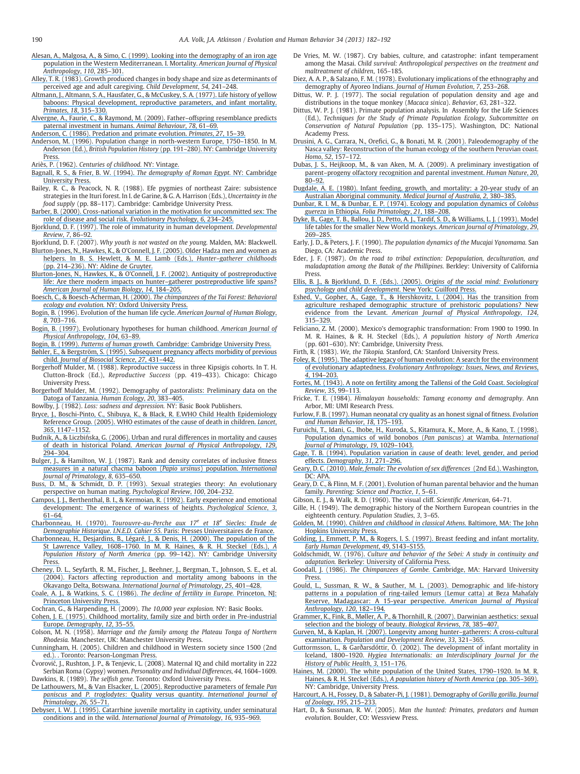- Alesan, A., Malgosa, A., & Simo, C. (1999). Looking into the demography of an iron age population in the Western Mediterranean. I. Mortality. *American Journal of Physical Anthropology*, *110*, 285–301.
- Alley, T. R. (1983). Growth produced changes in body shape and size as determinants of perceived age and adult caregiving. *Child Development*, *54*, 241–248.
- Altmann, J., Altmann, S. A., Hausfater, G., & McCuskey, S. A. (1977). Life history of yellow baboons: Physical development, reproductive parameters, and infant mortality. *Primates*, *18*, 315–330.
- Alvergne, A., Faurie, C., & Raymond, M. (2009). Father–offspring resemblance predicts paternal investment in humans. *Animal Behaviour*, *78*, 61–69.
- Anderson, C. (1986). Predation and primate evolution. *Primates*, *27*, 15–39.
- Anderson, M. (1996). Population change in north-western Europe, 1750–1850. In M. Anderson (Ed.), *British Population History* (pp. 191–280). NY: Cambridge University Press.
- Ariès, P. (1962). *Centuries of childhood.* NY: Vintage.
- Bagnall, R. S., & Frier, B. W. (1994). *The demography of Roman Egypt.* NY: Cambridge University Press.
- Bailey, R. C., & Peacock, N. R. (1988). Efe pygmies of northeast Zaire: subsistence strategies in the Ituri forest. In I. de Garine, & G. A. Harrison (Eds.), *Uncertainty in the food supply* (pp. 88–117). Cambridge: Cambridge University Press.
- Barber, B. (2000). Cross-national variation in the motivation for uncommitted sex: The role of disease and social risk. *Evolutionary Psychology*, *6*, 234–245.
- Bjorklund, D. F. (1997). The role of immaturity in human development. *Developmental Review*, *7*, 86–92.
- Bjorklund, D. F. (2007). *Why youth is not wasted on the young.* Malden, MA: Blackwell.
- Blurton-Jones, N., Hawkes, K., & O'Connell, J. F. (2005). Older Hadza men and women as helpers. In B. S. Hewlett, & M. E. Lamb (Eds.), *Hunter*–*gatherer childhoods* (pp. 214–236). NY: Aldine de Gruyter.
- Blurton-Jones, N., Hawkes, K., & O'Connell, J. F. (2002). Antiquity of postreproductive life: Are there modern impacts on hunter–gatherer postreproductive life spans? *American Journal of Human Biology*, *14*, 184–205.
- Boesch, C., & Boesch-Acherman, H. (2000). *The chimpanzees of the Tai Forest: Behavioral ecology and evolution.* NY: Oxford University Press.
- Bogin, B. (1996). Evolution of the human life cycle. *American Journal of Human Biology*, *8*, 703–716.
- Bogin, B. (1997). Evolutionary hypotheses for human childhood. *American Journal of Physical Anthropology*, *104*, 63–89.
- Bogin, B. (1999). *Patterns of human growth.* Cambridge: Cambridge University Press. Bøhler, E., & Bergström, S. (1995). Subsequent pregnancy affects morbidity of previous
- child. *Journal of Biosocial Science*, *27*, 431–442.
- Borgerhoff Mulder, M. (1988). Reproductive success in three Kipsigis cohorts. In T. H. Clutton-Brock (Ed.), *Reproductive Success* (pp. 419–433). Chicago: Chicago University Press.
- Borgerhoff Mulder, M. (1992). Demography of pastoralists: Preliminary data on the Datoga of Tanzania. *Human Ecology*, *20*, 383–405.
- Bowlby, J. (1982). *Loss: sadness and depression.* NY: Basic Book Publishers.
- Bryce, J., Boschi-Pinto, C., Shibuya, K., & Black, R. E.WHO Child Health Epidemiology Reference Group. (2005). WHO estimates of the cause of death in children. *Lancet*, *365*, 1147–1152.
- Budnik, A., & Liczbińska, G. (2006). Urban and rural differences in mortality and causes of death in historical Poland. *American Journal of Physical Anthropology*, *129*, 294–304.
- Bulger, J., & Hamilton, W. J. (1987). Rank and density correlates of inclusive fitness measures in a natural chacma baboon (*Papio ursinus*) population. *International Journal of Primatology*, *8*, 635–650.
- Buss, D. M., & Schmidt, D. P. (1993). Sexual strategies theory: An evolutionary perspective on human mating. *Psychological Review*, *100*, 204–232.
- Campos, J. J., Berthenthal, B. I., & Kermoian, R. (1992). Early experience and emotional development: The emergence of wariness of heights. *Psychological Science*, *3*, 61–64.
- Charbonneau, H. (1970). *Tourouvre-au-Perche aux 17<sup>e</sup> et 18<sup>e</sup> Siecles: Etude de Demographie Historique. I.N.E.D. Cahier 55.* Paris: Presses Universitaires de France.
- Charbonneau, H., Desjardins, B., Légaré, J., & Denis, H. (2000). The population of the St Lawrence Valley, 1608–1760. In M. R. Haines, & R. H. Steckel (Eds.), *A Population History of North America* (pp. 99–142). NY: Cambridge University Press.
- Cheney, D. L., Seyfarth, R. M., Fischer, J., Beehner, J., Bergman, T., Johnson, S. E., et al. (2004). Factors affecting reproduction and mortality among baboons in the Okavango Delta, Botswana. *International Journal of Primatology*, *25*, 401–428.
- Coale, A. J., & Watkins, S. C. (1986). *The decline of fertility in Europe.* Princeton, NJ: Princeton University Press.
- Cochran, G., & Harpending, H. (2009). *The 10,000 year explosion.* NY: Basic Books.
- Cohen, J. E. (1975). Childhood mortality, family size and birth order in Pre-industrial Europe. *Demography*, *12*, 35–55.
- Colson, M. N. (1958). *Marriage and the family among the Plateau Tonga of Northern Rhodesia.* Manchester, UK: Manchester University Press.
- Cunningham, H. (2005). Children and childhood in Western society since 1500 (2nd ed.). . Toronto: Pearson-Longman Press. Čvorović, J., Rushton, J. P., & Tenjevic, L. (2008). Maternal IQ and child mortality in 222
- Serbian Roma (Gypsy) women. *Personality and Individual Differences*, *44*, 1604–1609. Dawkins, R. (1989). *The sel*fi*sh gene.* Toronto: Oxford University Press.
- De Lathouwers, M., & Van Elsacker, L. (2005). Reproductive parameters of female *Pan paniscus* and *P. troglodytes*: Quality versus quantity. *International Journal of Primatology*, *26*, 55–71.
- Debyser, I. W. J. (1995). Catarrhine juvenile mortality in captivity, under seminatural conditions and in the wild. *International Journal of Primatology*, *16*, 935–969.
- De Vries, M. W. (1987). Cry babies, culture, and catastrophe: infant temperament among the Masai. *Child survival: Anthropological perspectives on the treatment and maltreatment of children*, 165–185.
- Diez, A. A. P., & Salzano, F. M. (1978). Evolutionary implications of the ethnography and demography of Ayoreo Indians. *Journal of Human Evolution*, *7*, 253–268.
- Dittus, W. P. J. (1977). The social regulation of population density and age and distributions in the toque monkey (*Macaca sinica*). *Behavior*, *63*, 281–322.
- Dittus, W. P. J. (1981). Primate population analysis. In Assembly for the Life Sciences (Ed.), *Techniques for the Study of Primate Population Ecology, Subcommittee on Conservation of Natural Population* (pp. 135–175). Washington, DC: National Academy Press.
- Drusini, A. G., Carrara, N., Orefici, G., & Bonati, M. R. (2001). Paleodemography of the Nasca valley: Reconstruction of the human ecology of the southern Peruvian coast. *Homo*, *52*, 157–172.
- Dubas, J. S., Heijkoop, M., & van Aken, M. A. (2009). A preliminary investigation of parent–progeny olfactory recognition and parental investment. *Human Nature*, *20*, 80–92.
- Dugdale, A. E. (1980). Infant feeding, growth, and mortality: a 20-year study of an Australian Aboriginal community. *Medical Journal of Australia*, *2*, 380–385.
- Dunbar, R. I. M., & Dunbar, E. P. (1974). Ecology and population dynamics of *Colobus guereza* in Ethiopia. *Folia Primatology*, *21*, 188–208.
- Dyke, B., Gage, T. B., Ballou, J. D., Petto, A. J., Tardif, S. D., & Williams, L. J. (1993). Model life tables for the smaller New World monkeys. *American Journal of Primatology*, *29*, 269–285.
- Early, J. D., & Peters, J. F. (1990). *The population dynamics of the Mucajai Ya*̧*nomama.* San Diego, CA: Academic Press.
- Eder, J. F. (1987). *On the road to tribal extinction: Depopulation, deculturation, and maladaptation among the Batak of the Phillipines.* Berkley: University of California Press.
- Ellis, B. J., & Bjorklund, D. F. (Eds.). (2005). *Origins of the social mind: Evolutionary psychology and child development*. New York: Guilford Press.
- Eshed, V., Gopher, A., Gage, T., & Hershkovitz, I. (2004). Has the transition from agriculture reshaped demographic structure of prehistoric populations? New evidence from the Levant. *American Journal of Physical Anthropology*, *124*, 315–329.
- Feliciano, Z. M. (2000). Mexico's demographic transformation: From 1900 to 1990. In M. R. Haines, & R. H. Steckel (Eds.), *A population history of North America* (pp. 601–630). NY: Cambridge, University Press.
- Firth, R. (1983). *We, the Tikopia.* Stanford, CA: Stanford University Press.
- Foley, R. (1995). The adaptive legacy of human evolution: A search for the environment of evolutionary adaptedness. *Evolutionary Anthropology: Issues, News, and Reviews*, *4*, 194–203.
- Fortes, M. (1943). A note on fertility among the Tallensi of the Gold Coast. *Sociological Review*, *35*, 99–113.
- Fricke, T. E. (1984). *Himalayan households: Tamang economy and demography.* Ann Arbor, MI: UMI Research Press.
- Furlow, F. B. (1997). Human neonatal cry quality as an honest signal of fitness. *Evolution and Human Behavior*, *18*, 175–193.
- Furuichi, T., Idani, G., Ihobe, H., Kuroda, S., Kitamura, K., More, A., & Kano, T. (1998). Population dynamics of wild bonobos (*Pan paniscus*) at Wamba. *International Journal of Primatology*, *19*, 1029–1043.
- Gage, T. B. (1994). Population variation in cause of death: level, gender, and period effects. *Demography*, *31*, 271–296.
- Geary, D. C. (2010). *Male, female: The evolution of sex differences* (2nd Ed.). Washington, DC: APA.
- Geary, D. C., & Flinn, M. F. (2001). Evolution of human parental behavior and the human family. *Parenting: Science and Practice*, *1*, 5–61.
- Gibson, E. J., & Walk, R. D. (1960). The visual cliff. *Scienti*fi*c American*, 64–71.
- Gille, H. (1949). The demographic history of the Northern European countries in the eighteenth century. *Population Studies*, *3*, 3–65.
- Golden, M. (1990). *Children and childhood in classical Athens.* Baltimore, MA: The John Hopkins University Press.
- Golding, J., Emmett, P. M., & Rogers, I. S. (1997). Breast feeding and infant mortality. *Early Human Development*, *49*, S143–S155.
- Goldschmidt, W. (1976). *Culture and behavior of the Sebei: A study in continuity and adaptation.* Berkeley: University of California Press.
- Goodall, J. (1986). *The Chimpanzees of Gombe.* Cambridge, MA: Harvard University Press.
- Gould, L., Sussman, R. W., & Sauther, M. L. (2003). Demographic and life-history patterns in a population of ring-tailed lemurs (Lemur catta) at Beza Mahafaly Reserve, Madagascar: A 15-year perspective. *American Journal of Physical Anthropology*, *120*, 182–194.
- Grammer, K., Fink, B., Møller, A. P., & Thornhill, R. (2007). Darwinian aesthetics: sexual selection and the biology of beauty. *Biological Reviews*, *78*, 385–407.
- Gurven, M., & Kaplan, H. (2007). Longevity among hunter–gatherers: A cross-cultural examination. *Population and Development Review*, *33*, 321–365.
- Guttormsson, L., & Garðarsdóttir, Ó. (2002). The development of infant mortality in Iceland, 1800–1920. *Hygiea Internationalis: an Interdisciplinary Journal for the History of Public Health*, *3*, 151–176.
- Haines, M. (2000). The white population of the United States, 1790–1920. In M. R. Haines, & R. H. Steckel (Eds.), *A population history of North America* (pp. 305–369). NY: Cambridge, University Press.
- Harcourt, A. H., Fossey, D., & Sabater-Pi, J. (1981). Demography of *Gorilla gorilla*. *Journal of Zoology*, *195*, 215–233.
- Hart, D., & Sussman, R. W. (2005). *Man the hunted: Primates, predators and human evolution.* Boulder, CO: Wessview Press.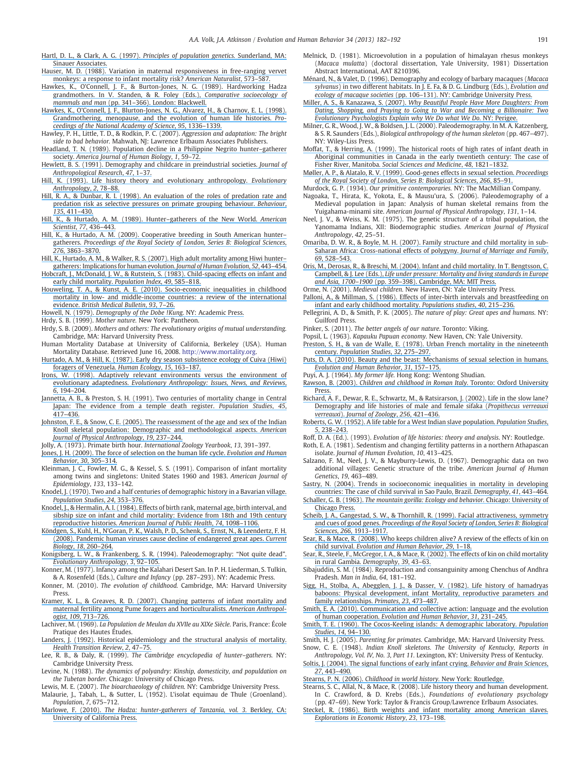Hartl, D. L., & Clark, A. G. (1997). Principles of population genetics. Sunderland, MA: Sinauer Associates.

- Hauser, M. D. (1988). Variation in maternal responsiveness in free-ranging vervet monkeys: a response to infant mortality risk? American Naturalist, 573–587.
- Hawkes, K., O'Connell, J. F., & Burton-Jones, N. G. (1989). Hardworking Hadza grandmothers. In V. Standen, & R. Foley (Eds.), Comparative socioecology of mammals and man (pp. 341–366). London: Blackwell.
- Hawkes, K., O'Connell, J. F., Blurton-Jones, N. G., Alvarez, H., & Charnov, E. L. (1998). Grandmothering, menopause, and the evolution of human life histories. Proceedings of the National Academy of Science, 95, 1336–1339.
- Hawley, P. H., Little, T. D., & Rodkin, P. C. (2007). Aggression and adaptation: The bright side to bad behavior. Mahwah, NJ: Lawrence Erlbaum Associates Publishers.
- Headland, T. N. (1989). Population decline in a Philippine Negrito hunter–gatherer society. America Journal of Human Biology, 1, 59–72.
- Hewlett, B. S. (1991). Demography and childcare in preindustrial societies. Journal of Anthropological Research, 47, 1–37.
- Hill, K. (1993). Life history theory and evolutionary anthropology. Evolutionary Anthropology, 2, 78–88.
- Hill, R. A., & Dunbar, R. I. (1998). An evaluation of the roles of predation rate and predation risk as selective pressures on primate grouping behaviour. Behaviour, 135, 411–430.
- Hill, K., & Hurtado, A. M. (1989). Hunter–gatherers of the New World. American Scientist, 77, 436–443.
- Hill, K., & Hurtado, A. M. (2009). Cooperative breeding in South American huntergatherers. Proceedings of the Royal Society of London, Series B: Biological Sciences, 276, 3863–3870.
- Hill, K., Hurtado, A. M., & Walker, R. S. (2007). High adult mortality among Hiwi hunter– gatherers: Implications for human evolution. Journal of Human Evolution, 52, 443–454.
- Hobcraft, J., McDonald, J. W., & Rutstein, S. (1983). Child-spacing effects on infant and early child mortality. Population Index, 49, 585–818.
- Houweling, T. A., & Kunst, A. E. (2010). Socio-economic inequalities in childhood mortality in low- and middle-income countries: a review of the international evidence. British Medical Bulletin, 93, 7–26.
- Howell, N. (1979). Demography of the Dobe !Kung. NY: Academic Press.
- Hrdy, S. B. (1999). Mother nature. New York: Pantheon.
- Hrdy, S. B. (2009). Mothers and others: The evolutionary origins of mutual understanding. Cambridge, MA: Harvard University Press.
- Human Mortality Database at University of California, Berkeley (USA). Human Mortality Database. Retrieved June 16, 2008. http://www.mortality.org.
- Hurtado, A. M., & Hill, K. (1987). Early dry season subsistence ecology of Cuiva (Hiwi) foragers of Venezuela. Human Ecology, 15, 163–187.
- Irons, W. (1998). Adaptively relevant environments versus the environment of evolutionary adaptedness. Evolutionary Anthropology: Issues, News, and Reviews, 6, 194–204.
- Jannetta, A. B., & Preston, S. H. (1991). Two centuries of mortality change in Central Japan: The evidence from a temple death register. Population Studies, 45 417–436.
- Johnston, F. E., & Snow, C. E. (2005). The reassessment of the age and sex of the Indian Knoll skeletal population: Demographic and methodological aspects. American Journal of Physical Anthropology, 19, 237–244.
- Jolly, A. (1973). Primate birth hour. International Zoology Yearbook, 13, 391–397.
- Jones, J. H. (2009). The force of selection on the human life cycle. Evolution and Human Behavior, 30, 305–314.
- Kleinman, J. C., Fowler, M. G., & Kessel, S. S. (1991). Comparison of infant mortality among twins and singletons: United States 1960 and 1983. American Journal of Epidemiology, 133, 133–142.
- Knodel, J. (1970). Two and a half centuries of demographic history in a Bavarian village. Population Studies, 24, 353–376.
- Knodel, J., & Hermalin, A. I. (1984). Effects of birth rank, maternal age, birth interval, and sibship size on infant and child mortality: Evidence from 18th and 19th century reproductive histories. American Journal of Public Health, 74, 1098–1106.
- Köndgen, S., Kuhl, H., N'Goran, P. K., Walsh, P. D., Schenk, S., Ernst, N., & Leendertz, F. H. (2008). Pandemic human viruses cause decline of endangered great apes. Current Biology, 18, 260–264.
- Konigsberg, L. W., & Frankenberg, S. R. (1994). Paleodemography: "Not quite dead". Evolutionary Anthropology, 3, 92–105.
- Konner, M. (1977). Infancy among the Kalahari Desert San. In P. H. Liederman, S. Tulkin, & A. Rosenfeld (Eds.), Culture and Infancy (pp. 287–293). NY: Academic Press.
- Konner, M. (2010). The evolution of childhood. Cambridge, MA: Harvard University Press.
- Kramer, K. L., & Greaves, R. D. (2007). Changing patterns of infant mortality and maternal fertility among Pume foragers and horticulturalists. American Anthropologist, 109, 713–726.
- Lachiver, M. (1969). La Population de Meulan du XVIIe au XIXe Siècle. Paris, France: École Pratique des Hautes Études.
- Landers, J. (1992). Historical epidemiology and the structural analysis of mortality. Health Transition Review, 2, 47–75.
- Lee, R. B., & Daly, R. (1999). The Cambridge encyclopedia of hunter–gatherers. NY: Cambridge University Press.
- Levine, N. (1988). The dynamics of polyandry: Kinship, domesticity, and populdation on the Tubetan border. Chicago: University of Chicago Press.
- Lewis, M. E. (2007). The bioarchaeology of children. NY: Cambridge University Press.
- Malaurie, J., Tabah, L., & Sutter, L. (1952). L'isolat equimau de Thule (Groenland). Population, 7, 675–712.
- Marlowe, F. (2010). The Hadza: hunter-gatherers of Tanzania, vol. 3. Berkley, CA: University of California Press.
- Melnick, D. (1981). Microevolution in a population of himalayan rhesus monkeys (Macaca mulatta) (doctoral dissertation, Yale University, 1981) Dissertation Abstract International, AAT 8210396.
- Ménard, N., & Valet, D. (1996). Demography and ecology of barbary macaques (Macaca sylvanus) in two different habitats. In J. E. Fa, & D. G. Lindburg (Eds.), Evolution and ecology of macaque societies (pp. 106-131). NY: Cambridge University Press.
- Miller, A. S., & Kanazawa, S. (2007). Why Beautiful People Have More Daughters: From Dating, Shopping, and Praying to Going to War and Becoming a Billionaire: Two Evolutionary Psychologists Explain why We Do what We Do. NY: Perigee.
- Milner, G. R., Wood, J. W., & Boldsen, J. L. (2000). Paleodemography. In M. A. Katzenberg, & S. R. Saunders (Eds.), Biological anthropology of the human skeleton (pp. 467–497). NY: Wiley-Liss Press.
- Moffat, T., & Herring, A. (1999). The historical roots of high rates of infant death in Aboriginal communities in Canada in the early twentieth century: The case of Fisher River, Manitoba. Social Sciences and Medicine, 48, 1821–1832.
- Møller, A. P., & Alatalo, R. V. (1999). Good-genes effects in sexual selection. Proceedings of the Royal Society of London, Series B: Biological Sciences, 266, 85–91.
- Murdock, G. P. (1934). Our primitive contemporaries. NY: The MacMillian Company.
- Nagoaka, T., Hirata, K., Yokota, E., & Mausu'ura, S. (2006). Paleodemography of a Medieval population in Japan: Analysis of human skeletal remains from the Yuigahama-minami site. American Journal of Physical Anthropology, 131, 1–14.
- Neel, J. V., & Weiss, K. M. (1975). The genetic structure of a tribal population, the Ya̧nomama Indians, XII: Biodemographic studies. American Journal of Physical Anthropology, 42, 25–51.
- Omariba, D. W. R., & Boyle, M. H. (2007). Family structure and child mortality in sub-Saharan Africa: Cross-national effects of polygyny. Journal of Marriage and Family, 69, 528–543.
- Oris, M., Derosas, R., & Breschi, M. (2004). Infant and child mortality. In T. Bengtsson, C. Campbell, & J. Lee (Eds.), Life under pressure: Mortality and living standards in Europe and Asia, 1700–1900 (pp. 359–398). Cambridge, MA: MIT Press.
- Orme, N. (2001). Medieval children. New Haven, CN: Yale University Press.
- Palloni, A., & Millman, S. (1986). Effects of inter-birth intervals and breastfeeding on infant and early childhood mortality. Populations studies, 40, 215–236.
- Pellegrini, A. D., & Smith, P. K. (2005). The nature of play: Great apes and humans. NY: Guilford Press.
- Pinker, S. (2011). The better angels of our nature. Toronto: Viking.
- Popsil, L. (1963). Kapauku Papuan economy. New Haven, CN: Yale University.
- Preston, S. H., & van de Walle, E. (1978). Urban French mortality in the nineteenth century. Population Studies, 32, 275–297.
- Puts, D. A. (2010). Beauty and the beast: Mechanisms of sexual selection in humans. Evolution and Human Behavior, 31, 157–175.
- Puyi, A. J. (1964). My former life. Hong Kong: Wentong Shudian.

Rawson, B. (2003). Children and childhood in Roman Italy. Toronto: Oxford University Press.

- Richard, A. F., Dewar, R. E., Schwartz, M., & Ratsirarson, J. (2002). Life in the slow lane? Demography and life histories of male and female sifaka (Propithecus verreauxi verreauxi). Journal of Zoology, 256, 421–436.
- Roberts, G. W. (1952). A life table for a West Indian slave population. Population Studies, 5, 238–243.
- Roff, D. A. (Ed.). (1993). Evolution of life histories: theory and analysis. NY: Routledge.
- Roth, E. A. (1981). Sedentism and changing fertility patterns in a northern Athapascan isolate. Journal of Human Evolution, 10, 413–425.
- Salzano, F. M., Neel, J. V., & Mayburry-Lewis, D. (1967). Demographic data on two additional villages: Genetic structure of the tribe. American Journal of Human Genetics, 19, 463–489.

Sastry, N. (2004). Trends in socioeconomic inequalities in mortality in developing countries: The case of child survival in Sao Paulo, Brazil. Demography, 41, 443–464.

Schaller, G. B. (1963). The mountain gorilla: Ecology and behavior. Chicago: University of Chicago Press.

- Scheib, J. A., Gangestad, S. W., & Thornhill, R. (1999). Facial attractiveness, symmetry and cues of good genes. Proceedings of the Royal Society of London, Series B: Biological Sciences, 266, 1913–1917.
- Sear, R., & Mace, R. (2008). Who keeps children alive? A review of the effects of kin on child survival. Evolution and Human Behavior, 29, 1–18.
- Sear, R., Steele, F., McGregor, I. A., & Mace, R. (2002). The effects of kin on child mortality in rural Gambia. Demography, 39, 43–63.
- Sibajuddin, S. M. (1984). Reproduction and consanguinity among Chenchus of Andhra Pradesh. Man in India, 64, 181–192.
- Sigg, H., Stolba, A., Abegglen, J. J., & Dasser, V. (1982). Life history of hamadryas baboons: Physical development, infant Mortality, reproductive parameters and family relationships. Primates, 23, 473–487.
- Smith, E. A. (2010). Communication and collective action: language and the evolution of human cooperation. Evolution and Human Behavior, 31, 231–245.
- Smith, T. E. (1960). The Cocos-Keeling islands: A demographic laboratory. Population Studies, 14, 94–130.
- Smith, H. J. (2005). Parenting for primates. Cambridge, MA: Harvard University Press. Snow, C. E. (1948). Indian Knoll skeletons. The University of Kentucky, Reports in
- Anthropology, Vol. IV, No. 3, Part 11. Lexington, KY: University Press of Kentucky. Soltis, J. (2004). The signal functions of early infant crying. Behavior and Brain Sciences,
- 27, 443–490. Stearns, P. N. (2006). Childhood in world history. New York: Routledge.
- 
- Stearns, S. C., Allal, N., & Mace, R. (2008). Life history theory and human development. In C. Crawford, & D. Krebs (Eds.), Foundations of evolutionary psychology (pp. 47–69). New York: Taylor & Francis Group/Lawrence Erlbaum Associates.
- Steckel, R. (1986). Birth weights and infant mortality among American slaves. Explorations in Economic History, 23, 173–198.